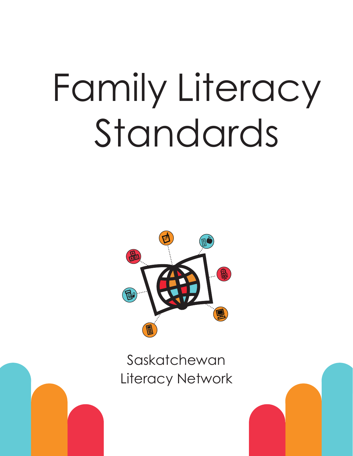# Family Literacy Standards



Saskatchewan Literacy Network



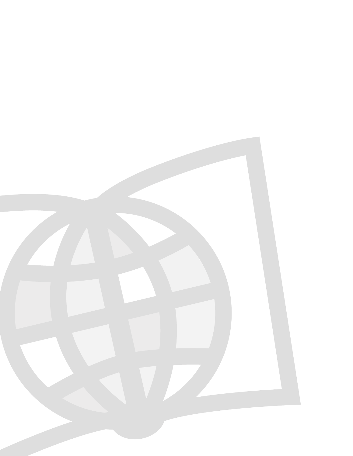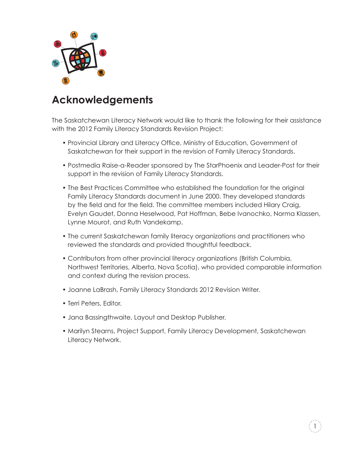

## **Acknowledgements**

The Saskatchewan Literacy Network would like to thank the following for their assistance with the 2012 Family Literacy Standards Revision Project:

- Provincial Library and Literacy Office, Ministry of Education, Government of Saskatchewan for their support in the revision of Family Literacy Standards.
- Postmedia Raise-a-Reader sponsored by The StarPhoenix and Leader-Post for their support in the revision of Family Literacy Standards.
- The Best Practices Committee who established the foundation for the original Family Literacy Standards document in June 2000. They developed standards by the field and for the field. The committee members included Hilary Craig, Evelyn Gaudet, Donna Heselwood, Pat Hoffman, Bebe Ivanochko, Norma Klassen, Lynne Mourot, and Ruth Vandekamp.
- The current Saskatchewan family literacy organizations and practitioners who reviewed the standards and provided thoughtful feedback.
- Contributors from other provincial literacy organizations (British Columbia, Northwest Territories, Alberta, Nova Scotia), who provided comparable information and context during the revision process.
- Joanne LaBrash, Family Literacy Standards 2012 Revision Writer.
- Terri Peters, Editor.
- Jana Bassingthwaite, Layout and Desktop Publisher.
- Marilyn Stearns, Project Support, Family Literacy Development, Saskatchewan Literacy Network.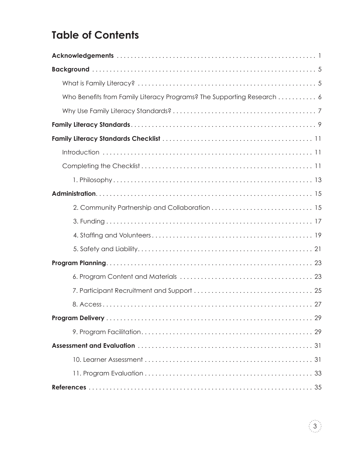# **Table of Contents**

| Who Benefits from Family Literacy Programs? The Supporting Research 6 |
|-----------------------------------------------------------------------|
|                                                                       |
|                                                                       |
|                                                                       |
|                                                                       |
|                                                                       |
|                                                                       |
|                                                                       |
|                                                                       |
|                                                                       |
|                                                                       |
|                                                                       |
|                                                                       |
|                                                                       |
|                                                                       |
|                                                                       |
|                                                                       |
|                                                                       |
|                                                                       |
|                                                                       |
|                                                                       |
|                                                                       |

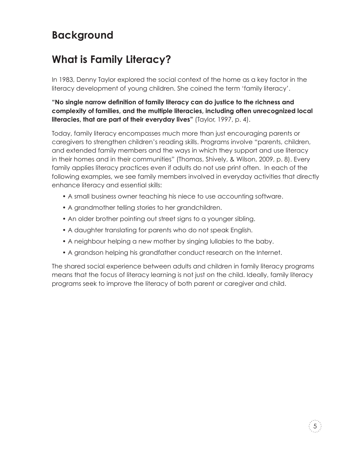# **Background**

# **What is Family Literacy?**

In 1983, Denny Taylor explored the social context of the home as a key factor in the literacy development of young children. She coined the term 'family literacy'.

#### **"No single narrow definition of family literacy can do justice to the richness and complexity of families, and the multiple literacies, including often unrecognized local literacies, that are part of their everyday lives"** (Taylor, 1997, p. 4).

Today, family literacy encompasses much more than just encouraging parents or caregivers to strengthen children's reading skills. Programs involve "parents, children, and extended family members and the ways in which they support and use literacy in their homes and in their communities" (Thomas, Shively, & Wilson, 2009, p. 8). Every family applies literacy practices even if adults do not use print often. In each of the following examples, we see family members involved in everyday activities that directly enhance literacy and essential skills:

- A small business owner teaching his niece to use accounting software.
- A grandmother telling stories to her grandchildren.
- An older brother pointing out street signs to a younger sibling.
- A daughter translating for parents who do not speak English.
- A neighbour helping a new mother by singing lullabies to the baby.
- A grandson helping his grandfather conduct research on the Internet.

The shared social experience between adults and children in family literacy programs means that the focus of literacy learning is not just on the child. Ideally, family literacy programs seek to improve the literacy of both parent or caregiver and child.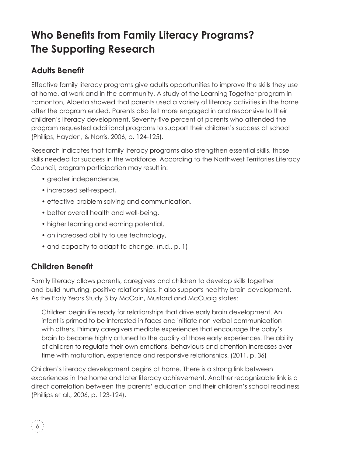# **Who Benefits from Family Literacy Programs? The Supporting Research**

## **Adults Benefit**

Effective family literacy programs give adults opportunities to improve the skills they use at home, at work and in the community. A study of the Learning Together program in Edmonton, Alberta showed that parents used a variety of literacy activities in the home after the program ended. Parents also felt more engaged in and responsive to their children's literacy development. Seventy-five percent of parents who attended the program requested additional programs to support their children's success at school (Phillips, Hayden, & Norris, 2006, p. 124-125).

Research indicates that family literacy programs also strengthen essential skills, those skills needed for success in the workforce. According to the Northwest Territories Literacy Council, program participation may result in:

- greater independence,
- increased self-respect,
- effective problem solving and communication,
- better overall health and well-being,
- higher learning and earning potential,
- an increased ability to use technology,
- and capacity to adapt to change. (n.d., p. 1)

## **Children Benefit**

Family literacy allows parents, caregivers and children to develop skills together and build nurturing, positive relationships. It also supports healthy brain development. As the Early Years Study 3 by McCain, Mustard and McCuaig states:

Children begin life ready for relationships that drive early brain development. An infant is primed to be interested in faces and initiate non-verbal communication with others. Primary caregivers mediate experiences that encourage the baby's brain to become highly attuned to the quality of those early experiences. The ability of children to regulate their own emotions, behaviours and attention increases over time with maturation, experience and responsive relationships. (2011, p. 36)

Children's literacy development begins at home. There is a strong link between experiences in the home and later literacy achievement. Another recognizable link is a direct correlation between the parents' education and their children's school readiness (Phillips et al., 2006, p. 123-124).

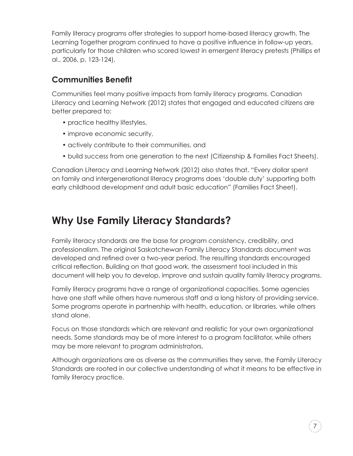Family literacy programs offer strategies to support home-based literacy growth. The Learning Together program continued to have a positive influence in follow-up years, particularly for those children who scored lowest in emergent literacy pretests (Phillips et al., 2006, p. 123-124).

#### **Communities Benefit**

Communities feel many positive impacts from family literacy programs. Canadian Literacy and Learning Network (2012) states that engaged and educated citizens are better prepared to:

- practice healthy lifestyles,
- improve economic security,
- actively contribute to their communities, and
- build success from one generation to the next (Citizenship & Families Fact Sheets).

Canadian Literacy and Learning Network (2012) also states that, "Every dollar spent on family and intergenerational literacy programs does 'double duty' supporting both early childhood development and adult basic education" (Families Fact Sheet).

# **Why Use Family Literacy Standards?**

Family literacy standards are the base for program consistency, credibility, and professionalism. The original Saskatchewan Family Literacy Standards document was developed and refined over a two-year period. The resulting standards encouraged critical reflection. Building on that good work, the assessment tool included in this document will help you to develop, improve and sustain quality family literacy programs.

Family literacy programs have a range of organizational capacities. Some agencies have one staff while others have numerous staff and a long history of providing service. Some programs operate in partnership with health, education, or libraries, while others stand alone.

Focus on those standards which are relevant and realistic for your own organizational needs. Some standards may be of more interest to a program facilitator, while others may be more relevant to program administrators.

Although organizations are as diverse as the communities they serve, the Family Literacy Standards are rooted in our collective understanding of what it means to be effective in family literacy practice.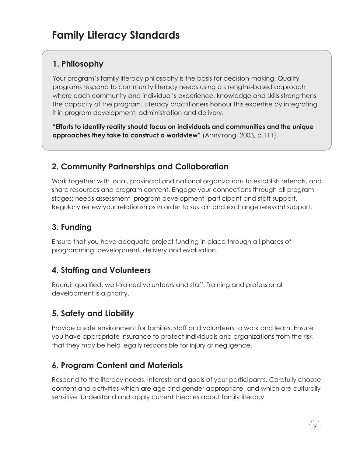## **1. Philosophy**

Your program's family literacy philosophy is the basis for decision-making. Quality programs respond to community literacy needs using a strengths-based approach where each community and individual's experience, knowledge and skills strengthens the capacity of the program. Literacy practitioners honour this expertise by integrating it in program development, administration and delivery.

**"Efforts to identify reality should focus on individuals and communities and the unique approaches they take to construct a worldview"** (Armstrong, 2003, p.111).

## **2. Community Partnerships and Collaboration**

Work together with local, provincial and national organizations to establish referrals, and share resources and program content. Engage your connections through all program stages: needs assessment, program development, participant and staff support. Regularly renew your relationships in order to sustain and exchange relevant support.

## **3. Funding**

Ensure that you have adequate project funding in place through all phases of programming: development, delivery and evaluation.

## **4. Staffing and Volunteers**

Recruit qualified, well-trained volunteers and staff. Training and professional development is a priority.

## **5. Safety and Liability**

Provide a safe environment for families, staff and volunteers to work and learn. Ensure you have appropriate insurance to protect individuals and organizations from the risk that they may be held legally responsible for injury or negligence.

## **6. Program Content and Materials**

Respond to the literacy needs, interests and goals of your participants. Carefully choose content and activities which are age and gender appropriate, and which are culturally sensitive. Understand and apply current theories about family literacy.

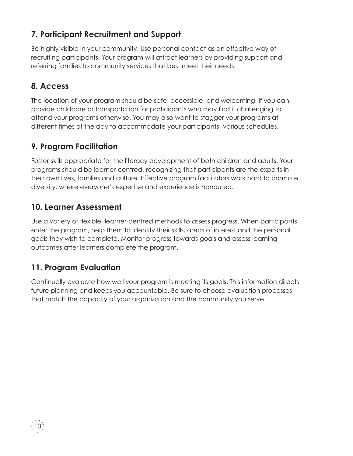## **7. Participant Recruitment and Support**

Be highly visible in your community. Use personal contact as an effective way of recruiting participants. Your program will attract learners by providing support and referring families to community services that best meet their needs.

## **8. Access**

The location of your program should be safe, accessible, and welcoming. If you can, provide childcare or transportation for participants who may find it challenging to attend your programs otherwise. You may also want to stagger your programs at different times of the day to accommodate your participants' various schedules.

## **9. Program Facilitation**

Foster skills appropriate for the literacy development of both children and adults. Your programs should be learner-centred, recognizing that participants are the experts in their own lives, families and culture. Effective program facilitators work hard to promote diversity, where everyone's expertise and experience is honoured.

## **10. Learner Assessment**

Use a variety of flexible, learner-centred methods to assess progress. When participants enter the program, help them to identify their skills, areas of interest and the personal goals they wish to complete. Monitor progress towards goals and assess learning outcomes after learners complete the program.

## **11. Program Evaluation**

Continually evaluate how well your program is meeting its goals. This information directs future planning and keeps you accountable. Be sure to choose evaluation processes that match the capacity of your organization and the community you serve.

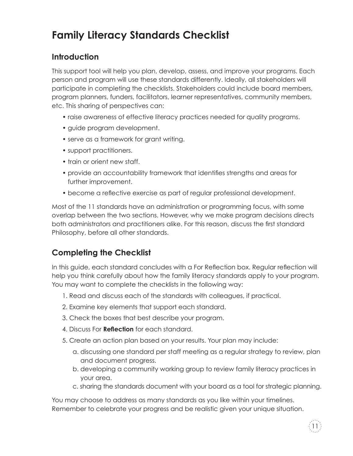# **Family Literacy Standards Checklist**

## **Introduction**

This support tool will help you plan, develop, assess, and improve your programs. Each person and program will use these standards differently. Ideally, all stakeholders will participate in completing the checklists. Stakeholders could include board members, program planners, funders, facilitators, learner representatives, community members, etc. This sharing of perspectives can:

- raise awareness of effective literacy practices needed for quality programs.
- guide program development.
- serve as a framework for grant writing.
- support practitioners.
- train or orient new staff.
- provide an accountability framework that identifies strengths and areas for further improvement.
- become a reflective exercise as part of regular professional development.

Most of the 11 standards have an administration or programming focus, with some overlap between the two sections. However, why we make program decisions directs both administrators and practitioners alike. For this reason, discuss the first standard Philosophy, before all other standards.

## **Completing the Checklist**

In this guide, each standard concludes with a For Reflection box. Regular reflection will help you think carefully about how the family literacy standards apply to your program. You may want to complete the checklists in the following way:

- 1. Read and discuss each of the standards with colleagues, if practical.
- 2. Examine key elements that support each standard.
- 3. Check the boxes that best describe your program.
- 4. Discuss For **Reflection** for each standard.
- 5. Create an action plan based on your results. Your plan may include:
	- a. discussing one standard per staff meeting as a regular strategy to review, plan and document progress.
	- b. developing a community working group to review family literacy practices in your area.
	- c. sharing the standards document with your board as a tool for strategic planning.

You may choose to address as many standards as you like within your timelines. Remember to celebrate your progress and be realistic given your unique situation.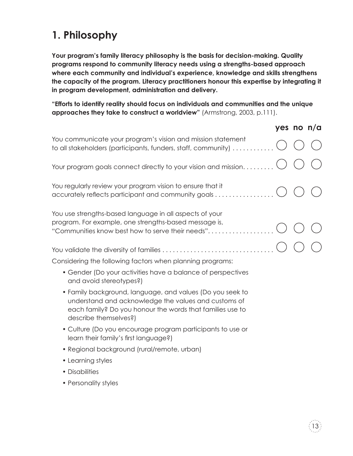# **1. Philosophy**

**Your program's family literacy philosophy is the basis for decision-making. Quality programs respond to community literacy needs using a strengths-based approach where each community and individual's experience, knowledge and skills strengthens the capacity of the program. Literacy practitioners honour this expertise by integrating it in program development, administration and delivery.**

**"Efforts to identify reality should focus on individuals and communities and the unique approaches they take to construct a worldview"** (Armstrong, 2003, p.111).

|                                                                                                                                                                                                         | yes no n/a |  |
|---------------------------------------------------------------------------------------------------------------------------------------------------------------------------------------------------------|------------|--|
| You communicate your program's vision and mission statement<br>to all stakeholders (participants, funders, staff, community)                                                                            |            |  |
| Your program goals connect directly to your vision and mission.                                                                                                                                         |            |  |
| You regularly review your program vision to ensure that it<br>accurately reflects participant and community goals                                                                                       |            |  |
| You use strengths-based language in all aspects of your<br>program. For example, one strengths-based message is,<br>"Communities know best how to serve their needs"                                    |            |  |
|                                                                                                                                                                                                         |            |  |
| Considering the following factors when planning programs:                                                                                                                                               |            |  |
| • Gender (Do your activities have a balance of perspectives<br>and avoid stereotypes?)                                                                                                                  |            |  |
| • Family background, language, and values (Do you seek to<br>understand and acknowledge the values and customs of<br>each family? Do you honour the words that families use to<br>describe themselves?) |            |  |
| • Culture (Do you encourage program participants to use or<br>learn their family's first language?)                                                                                                     |            |  |
| • Regional background (rural/remote, urban)                                                                                                                                                             |            |  |
| • Learning styles                                                                                                                                                                                       |            |  |
| • Disabilities                                                                                                                                                                                          |            |  |
|                                                                                                                                                                                                         |            |  |

• Personality styles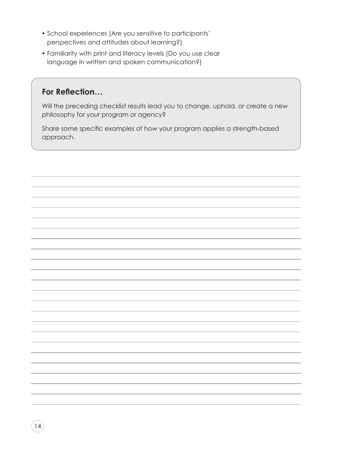- School experiences (Are you sensitive to participants' perspectives and attitudes about learning?)
- Familiarity with print and literacy levels (Do you use clear language in written and spoken communication?)

#### **For Reflection…**

Will the preceding checklist results lead you to change, uphold, or create a new philosophy for your program or agency?

Share some specific examples of how your program applies a strength-based approach.



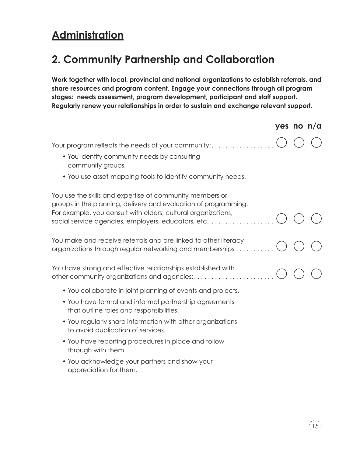## **Administration**

## **2. Community Partnership and Collaboration**

**Work together with local, provincial and national organizations to establish referrals, and share resources and program content. Engage your connections through all program stages: needs assessment, program development, participant and staff support. Regularly renew your relationships in order to sustain and exchange relevant support.**

|                                                                                                                                                                                                                                                     | yes no n/a |  |
|-----------------------------------------------------------------------------------------------------------------------------------------------------------------------------------------------------------------------------------------------------|------------|--|
| Your program reflects the needs of your community:<br>• You identify community needs by consulting<br>community groups.                                                                                                                             |            |  |
| • You use asset-mapping tools to identify community needs.                                                                                                                                                                                          |            |  |
| You use the skills and expertise of community members or<br>groups in the planning, delivery and evaluation of programming.<br>For example, you consult with elders, cultural organizations,<br>social service agencies, employers, educators, etc. |            |  |
| You make and receive referrals and are linked to other literacy<br>organizations through regular networking and memberships                                                                                                                         |            |  |
| You have strong and effective relationships established with<br>other community organizations and agencies:                                                                                                                                         |            |  |
| • You collaborate in joint planning of events and projects.                                                                                                                                                                                         |            |  |
| • You have formal and informal partnership agreements<br>that outline roles and responsibilities.                                                                                                                                                   |            |  |
| • You regularly share information with other organizations<br>to avoid duplication of services.                                                                                                                                                     |            |  |
| • You have reporting procedures in place and follow<br>through with them.                                                                                                                                                                           |            |  |
| • You acknowledge your partners and show your<br>appreciation for them.                                                                                                                                                                             |            |  |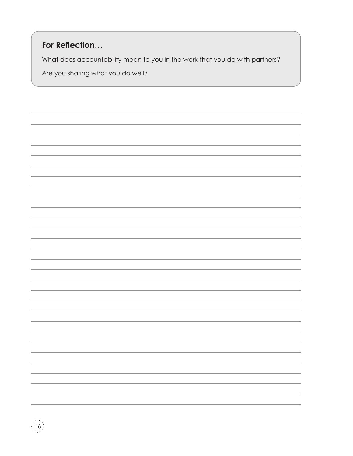## **For Reflection…**

What does accountability mean to you in the work that you do with partners?

Are you sharing what you do well?

16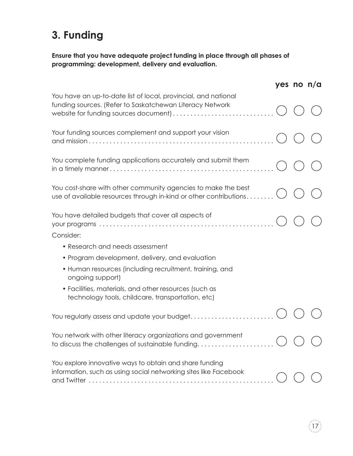# **3. Funding**

**Ensure that you have adequate project funding in place through all phases of programming: development, delivery and evaluation.**

|                                                                                                                                                                     | yes no $n/a$ |  |
|---------------------------------------------------------------------------------------------------------------------------------------------------------------------|--------------|--|
| You have an up-to-date list of local, provincial, and national<br>funding sources. (Refer to Saskatchewan Literacy Network<br>website for funding sources document) |              |  |
| Your funding sources complement and support your vision                                                                                                             |              |  |
| You complete funding applications accurately and submit them                                                                                                        |              |  |
| You cost-share with other community agencies to make the best<br>use of available resources through in-kind or other contributions                                  |              |  |
| You have detailed budgets that cover all aspects of                                                                                                                 |              |  |
| Consider:                                                                                                                                                           |              |  |
| • Research and needs assessment                                                                                                                                     |              |  |
| • Program development, delivery, and evaluation                                                                                                                     |              |  |
| • Human resources (including recruitment, training, and<br>ongoing support)                                                                                         |              |  |
| • Facilities, materials, and other resources (such as<br>technology tools, childcare, transportation, etc)                                                          |              |  |
| You regularly assess and update your budget                                                                                                                         |              |  |
| You network with other literacy organizations and government<br>to discuss the challenges of sustainable funding                                                    |              |  |
| You explore innovative ways to obtain and share funding<br>information, such as using social networking sites like Facebook                                         |              |  |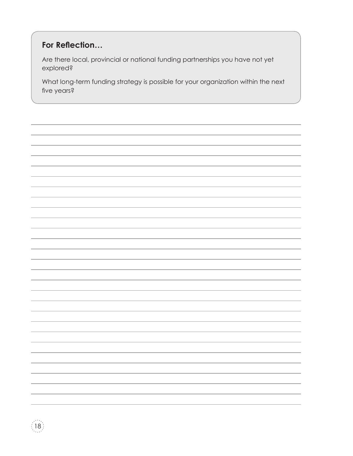## **For Reflection…**

Are there local, provincial or national funding partnerships you have not yet explored?

What long-term funding strategy is possible for your organization within the next five years?

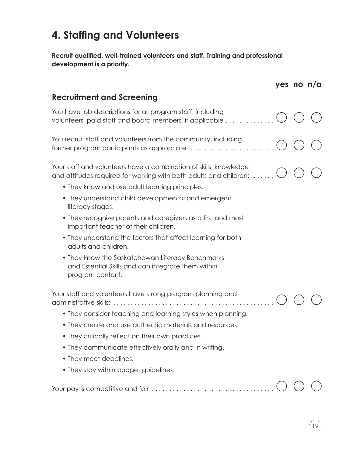# **4. Staffing and Volunteers**

**Recruit qualified, well-trained volunteers and staff. Training and professional development is a priority.**

|                                                                                                                                        | yes no $n/a$ |
|----------------------------------------------------------------------------------------------------------------------------------------|--------------|
| <b>Recruitment and Screening</b>                                                                                                       |              |
| You have job descriptions for all program staff, including<br>volunteers, paid staff and board members, if applicable                  |              |
| You recruit staff and volunteers from the community, including<br>former program participants as appropriate                           |              |
| Your staff and volunteers have a combination of skills, knowledge<br>and attitudes required for working with both adults and children: |              |
| • They know and use adult learning principles.                                                                                         |              |
| • They understand child developmental and emergent<br>literacy stages.                                                                 |              |
| • They recognize parents and caregivers as a first and most<br>important teacher of their children.                                    |              |
| • They understand the factors that affect learning for both<br>adults and children.                                                    |              |
| • They know the Saskatchewan Literacy Benchmarks<br>and Essential Skills and can integrate them within<br>program content.             |              |
| Your staff and volunteers have strong program planning and                                                                             |              |
| • They consider teaching and learning styles when planning.                                                                            |              |
| • They create and use authentic materials and resources.                                                                               |              |
| • They critically reflect on their own practices.                                                                                      |              |
| • They communicate effectively orally and in writing.                                                                                  |              |
| • They meet deadlines.                                                                                                                 |              |
| • They stay within budget guidelines.                                                                                                  |              |
|                                                                                                                                        |              |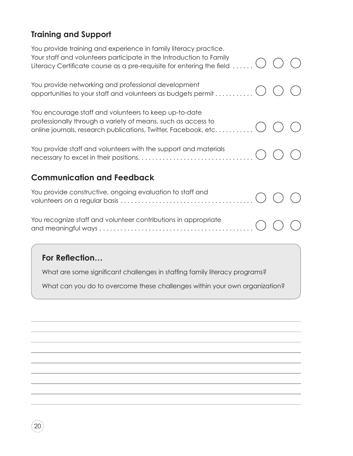## **Training and Support**

| You provide training and experience in family literacy practice.<br>Your staff and volunteers participate in the Introduction to Family<br>Literacy Certificate course as a pre-requisite for entering the field |  |
|------------------------------------------------------------------------------------------------------------------------------------------------------------------------------------------------------------------|--|
| You provide networking and professional development<br>opportunities to your staff and volunteers as budgets permit                                                                                              |  |
| You encourage staff and volunteers to keep up-to-date<br>professionally through a variety of means, such as access to<br>online journals, research publications, Twitter, Facebook, etc                          |  |
| You provide staff and volunteers with the support and materials                                                                                                                                                  |  |
| <b>Communication and Feedback</b>                                                                                                                                                                                |  |
| You provide constructive, ongoing evaluation to staff and                                                                                                                                                        |  |
| You recognize staff and volunteer contributions in appropriate                                                                                                                                                   |  |

## **For Reflection…**

What are some significant challenges in staffing family literacy programs?

What can you do to overcome these challenges within your own organization?

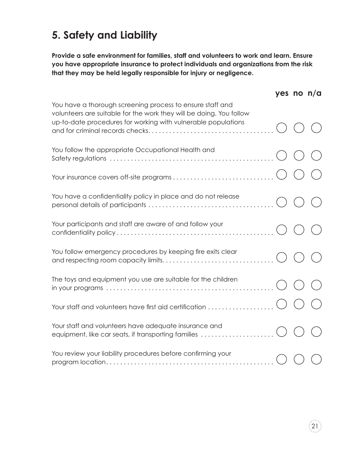# **5. Safety and Liability**

**Provide a safe environment for families, staff and volunteers to work and learn. Ensure you have appropriate insurance to protect individuals and organizations from the risk that they may be held legally responsible for injury or negligence.**

|                                                                                                                                                                                                   | yes no $n/a$ |  |
|---------------------------------------------------------------------------------------------------------------------------------------------------------------------------------------------------|--------------|--|
| You have a thorough screening process to ensure staff and<br>volunteers are suitable for the work they will be doing. You follow<br>up-to-date procedures for working with vulnerable populations |              |  |
| You follow the appropriate Occupational Health and                                                                                                                                                |              |  |
| Your insurance covers off-site programs                                                                                                                                                           |              |  |
| You have a confidentiality policy in place and do not release                                                                                                                                     |              |  |
| Your participants and staff are aware of and follow your                                                                                                                                          |              |  |
| You follow emergency procedures by keeping fire exits clear                                                                                                                                       |              |  |
| The toys and equipment you use are suitable for the children                                                                                                                                      |              |  |
| Your staff and volunteers have first aid certification                                                                                                                                            |              |  |
| Your staff and volunteers have adequate insurance and<br>equipment, like car seats, if transporting families                                                                                      |              |  |
| You review your liability procedures before confirming your                                                                                                                                       |              |  |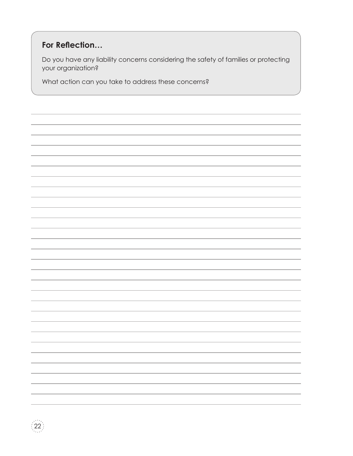## **For Reflection…**

Do you have any liability concerns considering the safety of families or protecting your organization?

What action can you take to address these concerns?

22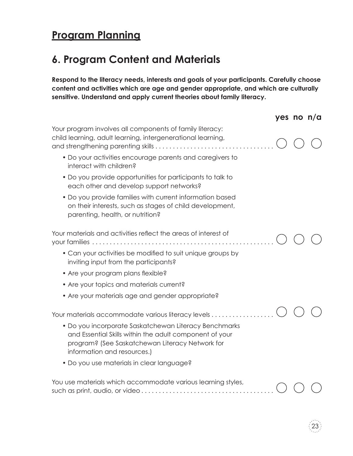## **Program Planning**

# **6. Program Content and Materials**

**Respond to the literacy needs, interests and goals of your participants. Carefully choose content and activities which are age and gender appropriate, and which are culturally sensitive. Understand and apply current theories about family literacy.**

|                                                                                                                                                                                                    | yes no n/a |  |
|----------------------------------------------------------------------------------------------------------------------------------------------------------------------------------------------------|------------|--|
| Your program involves all components of family literacy:<br>child learning, adult learning, intergenerational learning,                                                                            |            |  |
| • Do your activities encourage parents and caregivers to<br>interact with children?                                                                                                                |            |  |
| • Do you provide opportunities for participants to talk to<br>each other and develop support networks?                                                                                             |            |  |
| • Do you provide families with current information based<br>on their interests, such as stages of child development,<br>parenting, health, or nutrition?                                           |            |  |
| Your materials and activities reflect the areas of interest of                                                                                                                                     |            |  |
| • Can your activities be modified to suit unique groups by<br>inviting input from the participants?                                                                                                |            |  |
| • Are your program plans flexible?                                                                                                                                                                 |            |  |
| • Are your topics and materials current?                                                                                                                                                           |            |  |
| • Are your materials age and gender appropriate?                                                                                                                                                   |            |  |
| Your materials accommodate various literacy levels                                                                                                                                                 |            |  |
| • Do you incorporate Saskatchewan Literacy Benchmarks<br>and Essential Skills within the adult component of your<br>program? (See Saskatchewan Literacy Network for<br>information and resources.) |            |  |
| • Do you use materials in clear language?                                                                                                                                                          |            |  |
| You use materials which accommodate various learning styles,                                                                                                                                       |            |  |

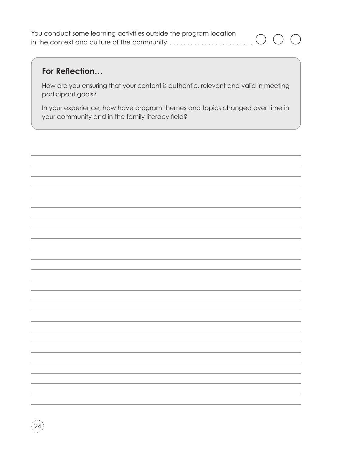You conduct some learning activities outside the program location in the context and culture of the community . . . . . . . . . . . . . . . . . . . . . . . .  $\left($ 

#### **For Reflection…**

How are you ensuring that your content is authentic, relevant and valid in meeting participant goals?

In your experience, how have program themes and topics changed over time in your community and in the family literacy field?



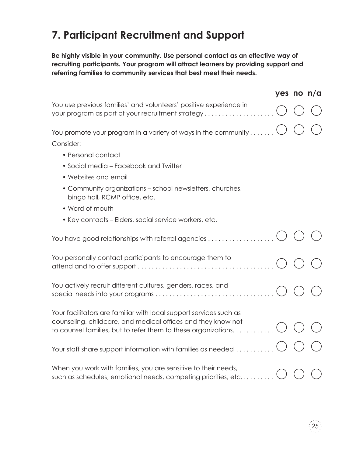# **7. Participant Recruitment and Support**

**Be highly visible in your community. Use personal contact as an effective way of recruiting participants. Your program will attract learners by providing support and referring families to community services that best meet their needs.**

|                                                                                                                                                                                                     | yes no $n/a$ |  |
|-----------------------------------------------------------------------------------------------------------------------------------------------------------------------------------------------------|--------------|--|
| You use previous families' and volunteers' positive experience in<br>your program as part of your recruitment strategy                                                                              |              |  |
| You promote your program in a variety of ways in the community                                                                                                                                      |              |  |
| Consider:                                                                                                                                                                                           |              |  |
| • Personal contact                                                                                                                                                                                  |              |  |
| • Social media - Facebook and Twitter                                                                                                                                                               |              |  |
| • Websites and email                                                                                                                                                                                |              |  |
| • Community organizations - school newsletters, churches,<br>bingo hall, RCMP office, etc.                                                                                                          |              |  |
| • Word of mouth                                                                                                                                                                                     |              |  |
| • Key contacts - Elders, social service workers, etc.                                                                                                                                               |              |  |
| You have good relationships with referral agencies                                                                                                                                                  |              |  |
| You personally contact participants to encourage them to                                                                                                                                            |              |  |
| You actively recruit different cultures, genders, races, and<br>special needs into your programs                                                                                                    |              |  |
| Your facilitators are familiar with local support services such as<br>counseling, childcare, and medical offices and they know not<br>to counsel families, but to refer them to these organizations |              |  |
| Your staff share support information with families as needed                                                                                                                                        |              |  |
| When you work with families, you are sensitive to their needs,<br>such as schedules, emotional needs, competing priorities, etc                                                                     |              |  |

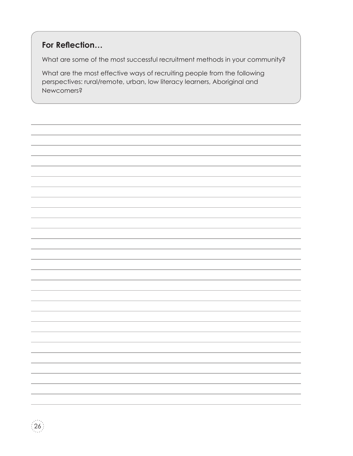## **For Reflection…**

What are some of the most successful recruitment methods in your community?

What are the most effective ways of recruiting people from the following perspectives: rural/remote, urban, low literacy learners, Aboriginal and Newcomers?

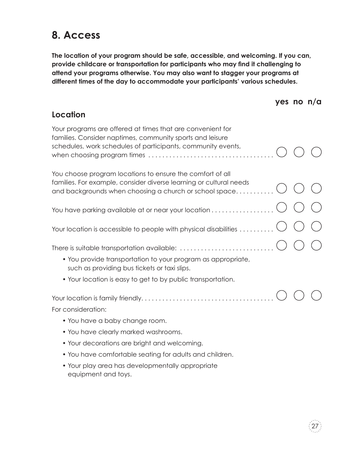# **8. Access**

**The location of your program should be safe, accessible, and welcoming. If you can, provide childcare or transportation for participants who may find it challenging to attend your programs otherwise. You may also want to stagger your programs at different times of the day to accommodate your participants' various schedules.**

| yes no n/a |  |  |  |
|------------|--|--|--|
|------------|--|--|--|

#### **Location**

| Your programs are offered at times that are convenient for<br>families. Consider naptimes, community sports and leisure<br>schedules, work schedules of participants, community events,   |  |
|-------------------------------------------------------------------------------------------------------------------------------------------------------------------------------------------|--|
| You choose program locations to ensure the comfort of all<br>families. For example, consider diverse learning or cultural needs<br>and backgrounds when choosing a church or school space |  |
| You have parking available at or near your location                                                                                                                                       |  |
| Your location is accessible to people with physical disabilities                                                                                                                          |  |
| There is suitable transportation available:<br>• You provide transportation to your program as appropriate,<br>such as providing bus tickets or taxi slips.                               |  |
| • Your location is easy to get to by public transportation.                                                                                                                               |  |
| For consideration:                                                                                                                                                                        |  |
| • You have a baby change room.<br>• You have clearly marked washrooms.<br>• Your decorations are bright and welcoming.                                                                    |  |
| • You have comfortable seating for adults and children.                                                                                                                                   |  |

 • Your play area has developmentally appropriate equipment and toys.

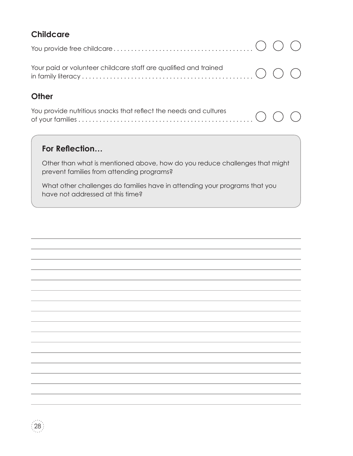## **Childcare**

#### **Other**

| You provide nutritious snacks that reflect the needs and cultures |  |  |
|-------------------------------------------------------------------|--|--|
|                                                                   |  |  |

#### **For Reflection…**

Other than what is mentioned above, how do you reduce challenges that might prevent families from attending programs?

What other challenges do families have in attending your programs that you have not addressed at this time?



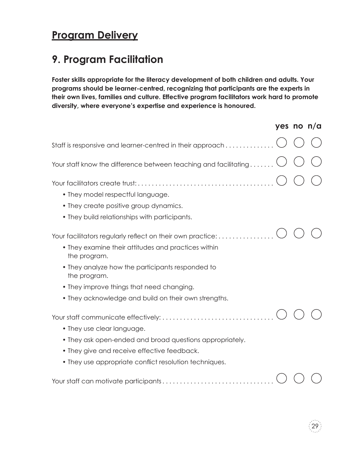## **Program Delivery**

# **9. Program Facilitation**

**Foster skills appropriate for the literacy development of both children and adults. Your programs should be learner-centred, recognizing that participants are the experts in their own lives, families and culture. Effective program facilitators work hard to promote diversity, where everyone's expertise and experience is honoured.**

|                                                                                                                                   | yes no n/a |  |
|-----------------------------------------------------------------------------------------------------------------------------------|------------|--|
| Staff is responsive and learner-centred in their approach                                                                         |            |  |
| Your staff know the difference between teaching and facilitating                                                                  |            |  |
| • They model respectful language.<br>• They create positive group dynamics.                                                       |            |  |
| • They build relationships with participants.                                                                                     |            |  |
| Your facilitators regularly reflect on their own practice:<br>• They examine their attitudes and practices within<br>the program. |            |  |
| • They analyze how the participants responded to<br>the program.                                                                  |            |  |
| • They improve things that need changing.                                                                                         |            |  |
| • They acknowledge and build on their own strengths.                                                                              |            |  |
| • They use clear language.                                                                                                        |            |  |
| • They ask open-ended and broad questions appropriately.                                                                          |            |  |
| • They give and receive effective feedback.                                                                                       |            |  |
| • They use appropriate conflict resolution techniques.                                                                            |            |  |
| Your staff can motivate participants                                                                                              |            |  |

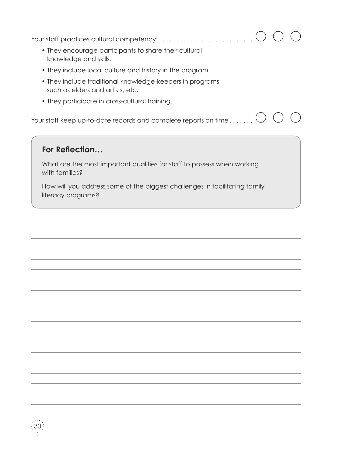Your staff practices cultural competency: . . . . . . . . . . . . . . . . . . . . . . . . . . .

- They encourage participants to share their cultural knowledge and skills.
- They include local culture and history in the program.
- They include traditional knowledge-keepers in programs, such as elders and artists, etc.
- They participate in cross-cultural training.

Your staff keep up-to-date records and complete reports on time........  $\bigcirc \circ \bigcirc$ 

#### **For Reflection…**

What are the most important qualities for staff to possess when working with families?

How will you address some of the biggest challenges in facilitating family literacy programs?

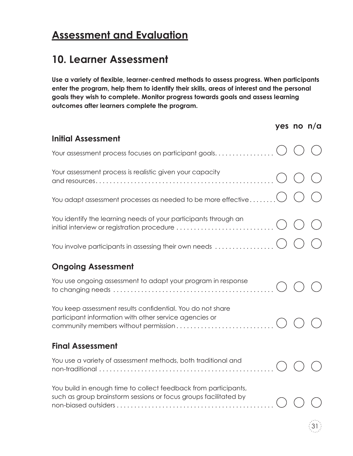## **Assessment and Evaluation**

## **10. Learner Assessment**

**Use a variety of flexible, learner-centred methods to assess progress. When participants enter the program, help them to identify their skills, areas of interest and the personal goals they wish to complete. Monitor progress towards goals and assess learning outcomes after learners complete the program.**

|                                                                                                                                                              | yes no $n/a$ |  |
|--------------------------------------------------------------------------------------------------------------------------------------------------------------|--------------|--|
| <b>Initial Assessment</b>                                                                                                                                    |              |  |
| Your assessment process focuses on participant goals                                                                                                         |              |  |
| Your assessment process is realistic given your capacity                                                                                                     |              |  |
| You adapt assessment processes as needed to be more effective                                                                                                |              |  |
| You identify the learning needs of your participants through an<br>initial interview or registration procedure                                               |              |  |
| You involve participants in assessing their own needs $\ldots \ldots \ldots \ldots \ldots$                                                                   |              |  |
| <b>Ongoing Assessment</b>                                                                                                                                    |              |  |
| You use ongoing assessment to adapt your program in response                                                                                                 |              |  |
| You keep assessment results confidential. You do not share<br>participant information with other service agencies or<br>community members without permission |              |  |
| <b>Final Assessment</b>                                                                                                                                      |              |  |
| You use a variety of assessment methods, both traditional and                                                                                                |              |  |
| You build in enough time to collect feedback from participants,<br>such as group brainstorm sessions or focus groups facilitated by                          |              |  |
|                                                                                                                                                              |              |  |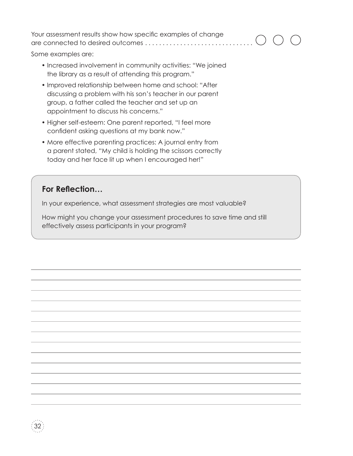Your assessment results show how specific examples of change are connected to desired outcomes . . . . . . . . . . . . . . . . . . . . . . . . . . . . . . .

Some examples are:

- Increased involvement in community activities: "We joined the library as a result of attending this program."
- Improved relationship between home and school: "After discussing a problem with his son's teacher in our parent group, a father called the teacher and set up an appointment to discuss his concerns."
- Higher self-esteem: One parent reported, "I feel more confident asking questions at my bank now."
- More effective parenting practices: A journal entry from a parent stated, "My child is holding the scissors correctly today and her face lit up when I encouraged her!"

#### **For Reflection…**

In your experience, what assessment strategies are most valuable?

How might you change your assessment procedures to save time and still effectively assess participants in your program?

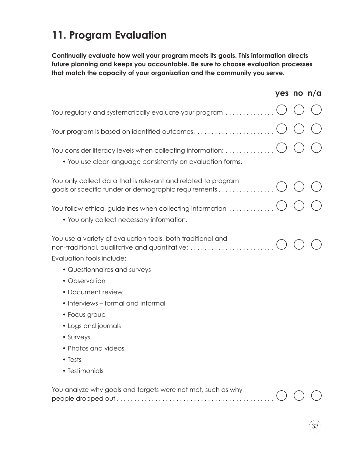# **11. Program Evaluation**

**Continually evaluate how well your program meets its goals. This information directs future planning and keeps you accountable. Be sure to choose evaluation processes that match the capacity of your organization and the community you serve.**

|                                                                                                                         |  | yes no n/a |
|-------------------------------------------------------------------------------------------------------------------------|--|------------|
| You regularly and systematically evaluate your program                                                                  |  |            |
| Your program is based on identified outcomes                                                                            |  |            |
| You consider literacy levels when collecting information:<br>• You use clear language consistently on evaluation forms. |  |            |
| You only collect data that is relevant and related to program<br>goals or specific funder or demographic requirements   |  |            |
| You follow ethical guidelines when collecting information<br>• You only collect necessary information.                  |  |            |
| You use a variety of evaluation tools, both traditional and<br>non-traditional, qualitative and quantitative:           |  |            |
| Evaluation tools include:                                                                                               |  |            |
| • Questionnaires and surveys                                                                                            |  |            |
| • Observation                                                                                                           |  |            |
| • Document review                                                                                                       |  |            |
| • Interviews – formal and informal                                                                                      |  |            |
| • Focus group                                                                                                           |  |            |
| • Logs and journals                                                                                                     |  |            |
| • Surveys                                                                                                               |  |            |
| • Photos and videos                                                                                                     |  |            |
| • Tests                                                                                                                 |  |            |
| • Testimonials                                                                                                          |  |            |
| You analyze why goals and targets were not met, such as why                                                             |  |            |

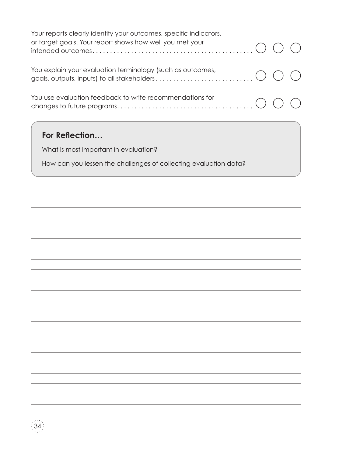| Your reports clearly identify your outcomes, specific indicators,<br>or target goals. Your report shows how well you met your |  |  |
|-------------------------------------------------------------------------------------------------------------------------------|--|--|
| You explain your evaluation terminology (such as outcomes,                                                                    |  |  |
| You use evaluation feedback to write recommendations for                                                                      |  |  |

## **For Reflection…**

What is most important in evaluation?

How can you lessen the challenges of collecting evaluation data?

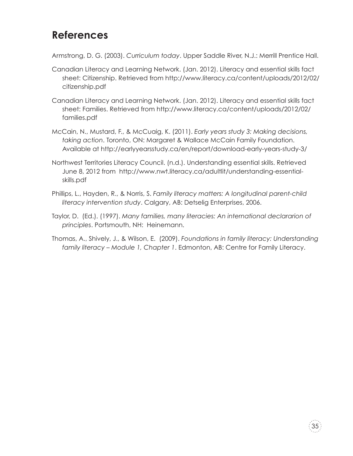## **References**

Armstrong, D. G. (2003). *Curriculum today*. Upper Saddle River, N.J.: Merrill Prentice Hall.

- Canadian Literacy and Learning Network. (Jan. 2012). Literacy and essential skills fact sheet: Citizenship. Retrieved from http://www.literacy.ca/content/uploads/2012/02/ citizenship.pdf
- Canadian Literacy and Learning Network. (Jan. 2012). Literacy and essential skills fact sheet: Families. Retrieved from http://www.literacy.ca/content/uploads/2012/02/ families.pdf
- McCain, N., Mustard, F., & McCuaig, K. (2011). *Early years study 3: Making decisions, taking action*. Toronto, ON: Margaret & Wallace McCain Family Foundation. Available at http://earlyyearsstudy.ca/en/report/download-early-years-study-3/
- Northwest Territories Literacy Council. (n.d.). Understanding essential skills. Retrieved June 8, 2012 from http://www.nwt.literacy.ca/adultlit/understanding-essentialskills.pdf
- Phillips, L., Hayden, R., & Norris, S. *Family literacy matters: A longitudinal parent-child literacy intervention study*. Calgary, AB: Detselig Enterprises, 2006.
- Taylor, D. (Ed.). (1997). *Many families, many literacies: An international declararion of principles*. Portsmouth, NH: Heinemann.
- Thomas, A., Shively, J., & Wilson, E. (2009). *Foundations in family literacy: Understanding family literacy – Module 1, Chapter 1*. Edmonton, AB: Centre for Family Literacy.